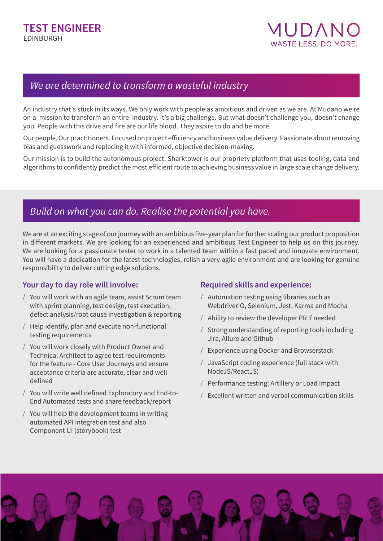

# *We are determined to transform a wasteful industry*

An industry that's stuck in its ways. We only work with people as ambitious and driven as we are. At Mudano we're on a mission to transform an entire industry. It's a big challenge. But what doesn't challenge you, doesn't change you. People with this drive and fire are our life blood. They aspire to do and be more.

Our people. Our practitioners. Focused on project efficiency and business value delivery. Passionate about removing bias and guesswork and replacing it with informed, objective decision-making.

Our mission is to build the autonomous project. Sharktower is our propriety platform that uses tooling, data and algorithms to confidently predict the most efficient route to achieving business value in large scale change delivery.

# *Build on what you can do. Realise the potential you have.*

We are at an exciting stage of our journey with an ambitious five-year plan for further scaling our product proposition in different markets. We are looking for an experienced and ambitious Test Engineer to help us on this journey. We are looking for a passionate tester to work in a talented team within a fast paced and innovate environment. You will have a dedication for the latest technologies, relish a very agile environment and are looking for genuine responsibility to deliver cutting edge solutions.

## **Your day to day role will involve:**

- / You will work with an agile team, assist Scrum team with sprint planning, test design, test execution, defect analysis/root cause investigation & reporting
- / Help identify, plan and execute non-functional testing requirements
- / You will work closely with Product Owner and Technical Architect to agree test requirements for the feature - Core User Journeys and ensure acceptance criteria are accurate, clear and well defined
- / You will write well defined Exploratory and End-to-End Automated tests and share feedback/report
- / You will help the development teams in writing automated API integration test and also Component UI (storybook) test

## **Required skills and experience:**

- / Automation testing using libraries such as WebdriverIO, Selenium, Jest, Karma and Mocha
- / Ability to review the developer PR if needed
- / Strong understanding of reporting tools including Jira, Allure and Github
- / Experience using Docker and Browserstack
- / JavaScript coding experience (full stack with NodeJS/ReactJS)
- / Performance testing: Artillery or Load Impact
- / Excellent written and verbal communication skills